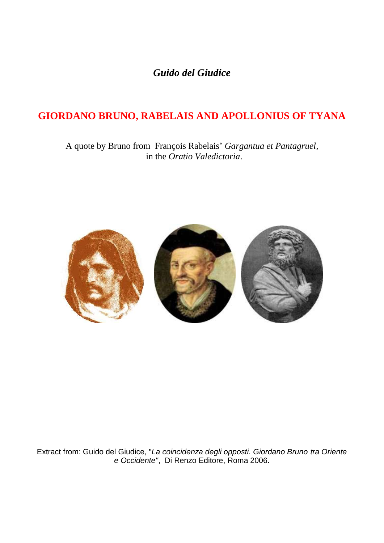*Guido del Giudice*

## **GIORDANO BRUNO, RABELAIS AND APOLLONIUS OF TYANA**

A quote by Bruno from François Rabelais" *Gargantua et Pantagruel,* in the *Oratio Valedictoria*.



Extract from: Guido del Giudice, "*La coincidenza degli opposti. Giordano Bruno tra Oriente e Occidente"*, Di Renzo Editore, Roma 2006.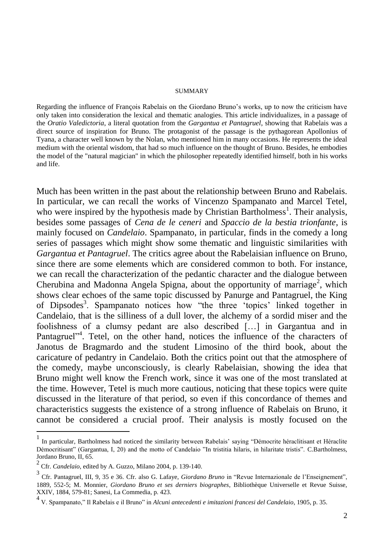## SUMMARY

Regarding the influence of François Rabelais on the Giordano Bruno"s works, up to now the criticism have only taken into consideration the lexical and thematic analogies. This article individualizes, in a passage of the *Oratio Valedictoria*, a literal quotation from the *Gargantua et Pantagruel*, showing that Rabelais was a direct source of inspiration for Bruno. The protagonist of the passage is the pythagorean Apollonius of Tyana, a character well known by the Nolan, who mentioned him in many occasions. He represents the ideal medium with the oriental wisdom, that had so much influence on the thought of Bruno. Besides, he embodies the model of the "natural magician" in which the philosopher repeatedly identified himself, both in his works and life.

Much has been written in the past about the relationship between Bruno and Rabelais. In particular, we can recall the works of Vincenzo Spampanato and Marcel Tetel, who were inspired by the hypothesis made by Christian Bartholmess<sup>1</sup>. Their analysis, besides some passages of *Cena de le ceneri* and *Spaccio de la bestia trionfante*, is mainly focused on *Candelaio*. Spampanato, in particular, finds in the comedy a long series of passages which might show some thematic and linguistic similarities with *Gargantua et Pantagruel*. The critics agree about the Rabelaisian influence on Bruno, since there are some elements which are considered common to both. For instance, we can recall the characterization of the pedantic character and the dialogue between Cherubina and Madonna Angela Spigna, about the opportunity of marriage<sup>2</sup>, which shows clear echoes of the same topic discussed by Panurge and Pantagruel, the King of Dipsodes<sup>3</sup>. Spampanato notices how "the three 'topics' linked together in Candelaio, that is the silliness of a dull lover, the alchemy of a sordid miser and the foolishness of a clumsy pedant are also described […] in Gargantua and in Pantagruel"<sup>4</sup>. Tetel, on the other hand, notices the influence of the characters of Janotus de Bragmardo and the student Limosino of the third book, about the caricature of pedantry in Candelaio. Both the critics point out that the atmosphere of the comedy, maybe unconsciously, is clearly Rabelaisian, showing the idea that Bruno might well know the French work, since it was one of the most translated at the time. However, Tetel is much more cautious, noticing that these topics were quite discussed in the literature of that period, so even if this concordance of themes and characteristics suggests the existence of a strong influence of Rabelais on Bruno, it cannot be considered a crucial proof. Their analysis is mostly focused on the

<sup>1</sup> In particular, Bartholmess had noticed the similarity between Rabelais" saying "Démocrite héraclitisant et Héraclite Démocritisant" (Gargantua, I, 20) and the motto of Candelaio "In tristitia hilaris, in hilaritate tristis". C.Bartholmess, Jordano Bruno, II, 65.

<sup>2</sup> Cfr. *Candelaio*, edited by A. Guzzo, Milano 2004, p. 139-140.

<sup>3</sup> Cfr. Pantagruel, III, 9, 35 e 36. Cfr. also G. Lafaye, *Giordano Bruno* in "Revue Internazionale de l"Enseignement", 1889, 552-5; M. Monnier, *Giordano Bruno et ses derniers biographes*, Bibliothèque Universelle et Revue Suisse, XXIV, 1884, 579-81; Sanesi, La Commedia, p. 423.

<sup>4</sup> V. Spampanato," Il Rabelais e il Bruno" in *Alcuni antecedenti e imitazioni francesi del Candelaio*, 1905, p. 35.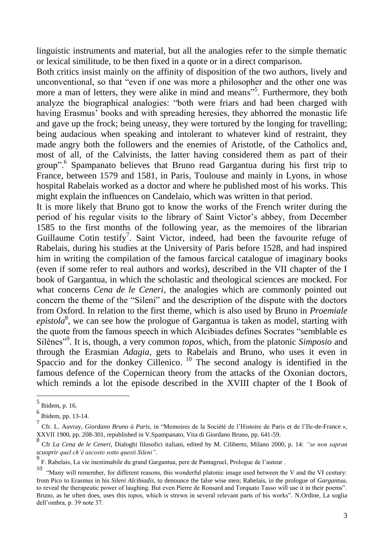linguistic instruments and material, but all the analogies refer to the simple thematic or lexical similitude, to be then fixed in a quote or in a direct comparison.

Both critics insist mainly on the affinity of disposition of the two authors, lively and unconventional, so that "even if one was more a philosopher and the other one was more a man of letters, they were alike in mind and means<sup>355</sup>. Furthermore, they both analyze the biographical analogies: "both were friars and had been charged with having Erasmus' books and with spreading heresies, they abhorred the monastic life and gave up the frock; being uneasy, they were tortured by the longing for travelling; being audacious when speaking and intolerant to whatever kind of restraint, they made angry both the followers and the enemies of Aristotle, of the Catholics and, most of all, of the Calvinists, the latter having considered them as part of their group".<sup>6</sup> Spampanato believes that Bruno read Gargantua during his first trip to France, between 1579 and 1581, in Paris, Toulouse and mainly in Lyons, in whose hospital Rabelais worked as a doctor and where he published most of his works. This might explain the influences on Candelaio, which was written in that period.

It is more likely that Bruno got to know the works of the French writer during the period of his regular visits to the library of Saint Victor"s abbey, from December 1585 to the first months of the following year, as the memoires of the librarian Guillaume Cotin testify<sup>7</sup>. Saint Victor, indeed, had been the favourite refuge of Rabelais, during his studies at the University of Paris before 1528, and had inspired him in writing the compilation of the famous farcical catalogue of imaginary books (even if some refer to real authors and works), described in the VII chapter of the I book of Gargantua, in which the scholastic and theological sciences are mocked. For what concerns *Cena de le Ceneri*, the analogies which are commonly pointed out concern the theme of the "Sileni" and the description of the dispute with the doctors from Oxford. In relation to the first theme, which is also used by Bruno in *Proemiale*  epistola<sup>8</sup>, we can see how the prologue of Gargantua is taken as model, starting with the quote from the famous speech in which Alcibiades defines Socrates "semblable es Silènes"<sup>9</sup> . It is, though, a very common *topos*, which, from the platonic *Simposio* and through the Erasmian *Adagia*, gets to Rabelais and Bruno, who uses it even in Spaccio and for the donkey Cillenico.  $10$  The second analogy is identified in the famous defence of the Copernican theory from the attacks of the Oxonian doctors, which reminds a lot the episode described in the XVIII chapter of the I Book of

<sup>5</sup> Ibidem, p. 16.

<sup>6</sup> Ibidem, pp. 13-14.

<sup>7</sup> Cfr. L. Auvray, *Giordano Bruno à Paris*, in "Memoires de la Société de l"Histoire de Paris et de l"Ile-de-France », XXVII 1900, pp. 208-301, republished in V.Spampanato, Vita di Giordano Bruno, pp. 641-59.

<sup>8</sup> Cfr *La Cena de le Ceneri*, Dialoghi filosofici italiani, edited by M. Ciliberto, Milano 2000, p. 14: *"se non sapran scuoprir quel ch'è ascosto sotto questi Sileni"*.

<sup>9</sup> F. Rabelais, La vie inestimabile du grand Gargantua, pere de Pantagruel, Prologue de l"auteur .

<sup>&</sup>lt;sup>10</sup> "Many will remember, for different reasons, this wonderful platonic image used between the V and the VI century: from Pico to Erasmus in his *Sileni Alcibiadis*, to denounce the false wise men; Rabelais, in the prologue of *Gargantua*, to reveal the therapeutic power of laughing. But even Pierre de Ronsard and Torquato Tasso will use it in their poems". Bruno, as he often does, uses this *topos*, which is strewn in several relevant parts of his works". N.Ordine, La soglia dell"ombra, p. 39 note 37.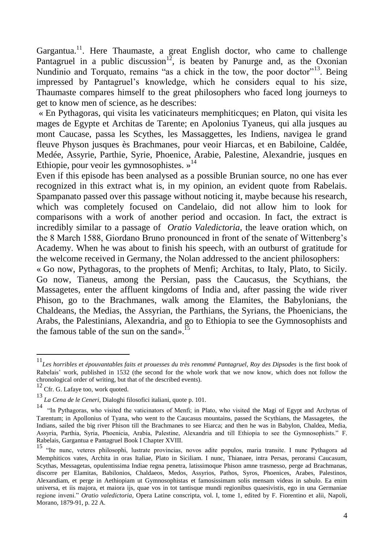Gargantua.<sup>11</sup>. Here Thaumaste, a great English doctor, who came to challenge Pantagruel in a public discussion<sup>12</sup>, is beaten by Panurge and, as the Oxonian Nundinio and Torquato, remains "as a chick in the tow, the poor doctor"<sup>13</sup>. Being impressed by Pantagruel"s knowledge, which he considers equal to his size, Thaumaste compares himself to the great philosophers who faced long journeys to get to know men of science, as he describes:

« En Pythagoras, qui visita les vaticinateurs memphiticques; en Platon, qui visita les mages de Egypte et Architas de Tarente; en Apolonius Tyaneus, qui alla jusques au mont Caucase, passa les Scythes, les Massaggettes, les Indiens, navigea le grand fleuve Physon jusques ès Brachmanes, pour veoir Hiarcas, et en Babiloine, Caldée, Medée, Assyrie, Parthie, Syrie, Phoenice, Arabie, Palestine, Alexandrie, jusques en Ethiopie, pour veoir les gymnosophistes. »<sup>14</sup>

Even if this episode has been analysed as a possible Brunian source, no one has ever recognized in this extract what is, in my opinion, an evident quote from Rabelais. Spampanato passed over this passage without noticing it, maybe because his research, which was completely focused on Candelaio, did not allow him to look for comparisons with a work of another period and occasion. In fact, the extract is incredibly similar to a passage of *Oratio Valedictoria*, the leave oration which, on the 8 March 1588, Giordano Bruno pronounced in front of the senate of Wittenberg"s Academy. When he was about to finish his speech, with an outburst of gratitude for the welcome received in Germany, the Nolan addressed to the ancient philosophers:

« Go now, Pythagoras, to the prophets of Menfi; Architas, to Italy, Plato, to Sicily. Go now, Tianeus, among the Persian, pass the Caucasus, the Scythians, the Massagetes, enter the affluent kingdoms of India and, after passing the wide river Phison, go to the Brachmanes, walk among the Elamites, the Babylonians, the Chaldeans, the Medias, the Assyrian, the Parthians, the Syrians, the Phoenicians, the Arabs, the Palestinians, Alexandria, and go to Ethiopia to see the Gymnosophists and the famous table of the sun on the sand».<sup>15</sup>

<sup>11</sup>*Les horribles et épouvantables faits et prouesses du très renommé Pantagruel, Roy des Dipsodes* is the first book of Rabelais' work, published in 1532 (the second for the whole work that we now know, which does not follow the chronological order of writing, but that of the described events).

 $\frac{12}{12}$  Cfr. G. Lafaye too, work quoted.

<sup>13</sup> *La Cena de le Ceneri,* Dialoghi filosofici italiani, quote p. 101.

<sup>14</sup> "In Pythagoras, who visited the vaticinators of Menfi; in Plato, who visited the Magi of Egypt and Archytas of Tarentum; in Apollonius of Tyana, who went to the Caucasus mountains, passed the Scythians, the Massagetes, the Indians, sailed the big river Phison till the Brachmanes to see Hiarca; and then he was in Babylon, Chaldea, Media, Assyria, Parthia, Syria, Phoenicia, Arabia, Palestine, Alexandria and till Ethiopia to see the Gymnosophists." F. Rabelais, Gargantua e Pantagruel Book I Chapter XVIII.

<sup>15</sup> "Ite nunc, veteres philosophi, lustrate provincias, novos adite populos, maria transite. I nunc Pythagora ad Memphiticos vates, Archita in oras Italiae, Plato in Siciliam. I nunc, Thianaee, intra Persas, peroransi Caucasum, Scythas, Messagetas, opulentissima Indiae regna penetra, latissimoque Phison amne trasmesso, perge ad Brachmanas, discorre per Elamitas, Babilonios, Chaldaeos, Medos, Assyrios, Pathos, Syros, Phoenices, Arabes, Palestinos, Alexandiam, et perge in Aethiopiam ut Gymnosophistas et famosissimam solis mensam videas in sabulo. Ea enim universa, et iis majora, et maiora ijs, quae vos in tot tantisque mundi regionibus quaesivistis, ego in una Germaniae regione inveni." *Oratio valedictoria*, Opera Latine conscripta, vol. I, tome 1, edited by F. Fiorentino et alii, Napoli, Morano, 1879-91, p. 22 A.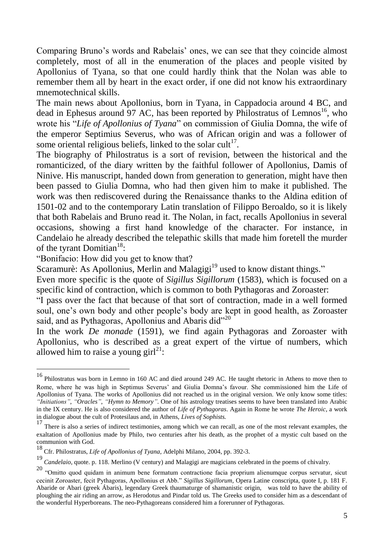Comparing Bruno"s words and Rabelais" ones, we can see that they coincide almost completely, most of all in the enumeration of the places and people visited by Apollonius of Tyana, so that one could hardly think that the Nolan was able to remember them all by heart in the exact order, if one did not know his extraordinary mnemotechnical skills.

The main news about Apollonius, born in Tyana, in Cappadocia around 4 BC, and dead in Ephesus around 97 AC, has been reported by Philostratus of Lemnos<sup>16</sup>, who wrote his "*Life of Apollonius of Tyana*" on commission of Giulia Domna, the wife of the emperor Septimius Severus, who was of African origin and was a follower of some oriental religious beliefs, linked to the solar cult<sup>17</sup>.

The biography of Philostratus is a sort of revision, between the historical and the romanticized, of the diary written by the faithful follower of Apollonius, Damis of Ninive. His manuscript, handed down from generation to generation, might have then been passed to Giulia Domna, who had then given him to make it published. The work was then rediscovered during the Renaissance thanks to the Aldina edition of 1501-02 and to the contemporary Latin translation of Filippo Beroaldo, so it is likely that both Rabelais and Bruno read it. The Nolan, in fact, recalls Apollonius in several occasions, showing a first hand knowledge of the character. For instance, in Candelaio he already described the telepathic skills that made him foretell the murder of the tyrant Domitian $18$ :

"Bonifacio: How did you get to know that?

1

Scaramurè: As Apollonius, Merlin and Malagigi<sup>19</sup> used to know distant things."

Even more specific is the quote of *Sigillus Sigillorum* (1583), which is focused on a specific kind of contraction, which is common to both Pythagoras and Zoroaster:

"I pass over the fact that because of that sort of contraction, made in a well formed soul, one's own body and other people's body are kept in good health, as Zoroaster said, and as Pythagoras, Apollonius and Abaris did"<sup>20</sup>

In the work *De monade* (1591), we find again Pythagoras and Zoroaster with Apollonius, who is described as a great expert of the virtue of numbers, which allowed him to raise a young girl<sup>21</sup>:

<sup>16</sup> Philostratus was born in Lemno in 160 AC and died around 249 AC. He taught rhetoric in Athens to move then to Rome, where he was high in Septimus Severus" and Giulia Domna"s favour. She commissioned him the Life of Apollonius of Tyana. The works of Apollonius did not reached us in the original version. We only know some titles: *"Initiations"*, *"Oracles"*, *"Hymn to Memory"*. One of his astrology treatises seems to have been translated into Arabic in the IX century. He is also considered the author of *Life of Pythagoras*. Again in Rome he wrote *The Heroic*, a work in dialogue about the cult of Protesilaus and, in Athens, *Lives of Sophists.*

<sup>&</sup>lt;sup>17</sup> There is also a series of indirect testimonies, among which we can recall, as one of the most relevant examples, the exaltation of Apollonius made by Philo, two centuries after his death, as the prophet of a mystic cult based on the communion with God.

<sup>18</sup> Cfr. Philostratus, *Life of Apollonius of Tyana*, Adelphi Milano, 2004, pp. 392-3.

<sup>19</sup> *Candelaio*, quote. p. 118. Merlino (V century) and Malagigi are magicians celebrated in the poems of chivalry.

<sup>&</sup>lt;sup>20</sup> "Omitto quod quidam in animum bene formatum contractione facia proprium alienumque corpus servatur, sicut cecinit Zoroaster, fecit Pythagoras, Apollonius et Abb." *Sigillus Sigillorum*, Opera Latine conscripta, quote I, p. 181 F. Abaride or Abari (greek Ábaris), legendary Greek thaumaturge of shamanistic origin, was told to have the ability of ploughing the air riding an arrow, as Herodotus and Pindar told us. The Greeks used to consider him as a descendant of the wonderful Hyperboreans. The neo-Pythagoreans considered him a forerunner of Pythagoras.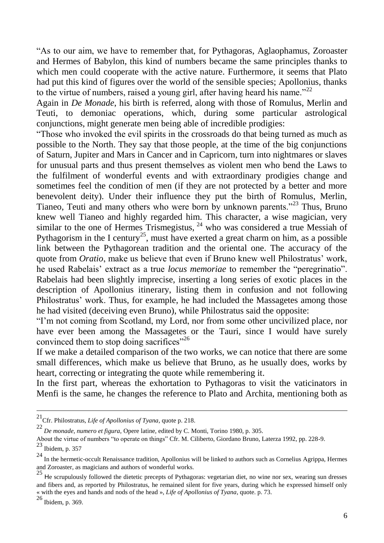"As to our aim, we have to remember that, for Pythagoras, Aglaophamus, Zoroaster and Hermes of Babylon, this kind of numbers became the same principles thanks to which men could cooperate with the active nature. Furthermore, it seems that Plato had put this kind of figures over the world of the sensible species; Apollonius, thanks to the virtue of numbers, raised a young girl, after having heard his name.<sup>22</sup>

Again in *De Monade*, his birth is referred, along with those of Romulus, Merlin and Teuti, to demoniac operations, which, during some particular astrological conjunctions, might generate men being able of incredible prodigies:

"Those who invoked the evil spirits in the crossroads do that being turned as much as possible to the North. They say that those people, at the time of the big conjunctions of Saturn, Jupiter and Mars in Cancer and in Capricorn, turn into nightmares or slaves for unusual parts and thus present themselves as violent men who bend the Laws to the fulfilment of wonderful events and with extraordinary prodigies change and sometimes feel the condition of men (if they are not protected by a better and more benevolent deity). Under their influence they put the birth of Romulus, Merlin, Tianeo, Teuti and many others who were born by unknown parents."<sup>23</sup> Thus, Bruno knew well Tianeo and highly regarded him. This character, a wise magician, very similar to the one of Hermes Trismegistus, <sup>24</sup> who was considered a true Messiah of Pythagorism in the I century<sup>25</sup>, must have exerted a great charm on him, as a possible link between the Pythagorean tradition and the oriental one. The accuracy of the quote from *Oratio*, make us believe that even if Bruno knew well Philostratus' work, he used Rabelais" extract as a true *locus memoriae* to remember the "peregrinatio". Rabelais had been slightly imprecise, inserting a long series of exotic places in the description of Apollonius itinerary, listing them in confusion and not following Philostratus' work. Thus, for example, he had included the Massagetes among those he had visited (deceiving even Bruno), while Philostratus said the opposite:

"I"m not coming from Scotland, my Lord, nor from some other uncivilized place, nor have ever been among the Massagetes or the Tauri, since I would have surely convinced them to stop doing sacrifices<sup>"26</sup>

If we make a detailed comparison of the two works, we can notice that there are some small differences, which make us believe that Bruno, as he usually does, works by heart, correcting or integrating the quote while remembering it.

In the first part, whereas the exhortation to Pythagoras to visit the vaticinators in Menfi is the same, he changes the reference to Plato and Archita, mentioning both as

<sup>21</sup>Cfr. Philostratus, *Life of Apollonius of Tyana*, quote p. 218.

<sup>22</sup> *De monade, numero et figura,* Opere latine, edited by C. Monti, Torino 1980, p. 305.

About the virtue of numbers "to operate on things" Cfr. M. Ciliberto, Giordano Bruno, Laterza 1992, pp. 228-9.  $\frac{23}{23}$  Ibidem, p. 357

<sup>&</sup>lt;sup>24</sup> In the hermetic-occult Renaissance tradition, Apollonius will be linked to authors such as Cornelius Agrippa, Hermes and Zoroaster, as magicians and authors of wonderful works.

<sup>25</sup> <sup>H</sup>e scrupulously followed the dietetic precepts of Pythagoras: vegetarian diet, no wine nor sex, wearing sun dresses and fibers and, as reported by Philostratus, he remained silent for five years, during which he expressed himself only « with the eyes and hands and nods of the head », *Life of Apollonius of Tyana*, quote. p. 73.

<sup>26</sup> Ibidem, p. 369.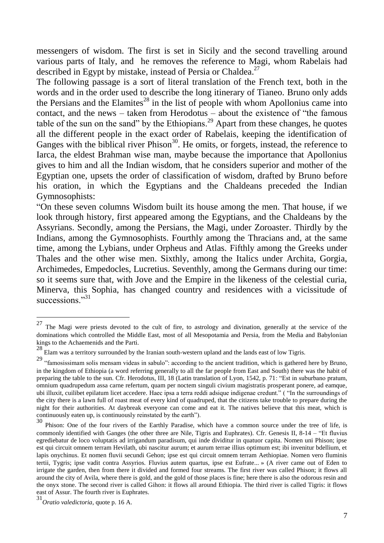messengers of wisdom. The first is set in Sicily and the second travelling around various parts of Italy, and he removes the reference to Magi, whom Rabelais had described in Egypt by mistake, instead of Persia or Chaldea.<sup>27</sup>

The following passage is a sort of literal translation of the French text, both in the words and in the order used to describe the long itinerary of Tianeo. Bruno only adds the Persians and the Elamites<sup>28</sup> in the list of people with whom Apollonius came into contact, and the news – taken from Herodotus – about the existence of "the famous" table of the sun on the sand" by the Ethiopians.<sup>29</sup> Apart from these changes, he quotes all the different people in the exact order of Rabelais, keeping the identification of Ganges with the biblical river Phison<sup>30</sup>. He omits, or forgets, instead, the reference to Iarca, the eldest Brahman wise man, maybe because the importance that Apollonius gives to him and all the Indian wisdom, that he considers superior and mother of the Egyptian one, upsets the order of classification of wisdom, drafted by Bruno before his oration, in which the Egyptians and the Chaldeans preceded the Indian Gymnosophists:

"On these seven columns Wisdom built its house among the men. That house, if we look through history, first appeared among the Egyptians, and the Chaldeans by the Assyrians. Secondly, among the Persians, the Magi, under Zoroaster. Thirdly by the Indians, among the Gymnosophists. Fourthly among the Thracians and, at the same time, among the Lybians, under Orpheus and Atlas. Fifthly among the Greeks under Thales and the other wise men. Sixthly, among the Italics under Archita, Gorgia, Archimedes, Empedocles, Lucretius. Seventhly, among the Germans during our time: so it seems sure that, with Jove and the Empire in the likeness of the celestial curia, Minerva, this Sophia, has changed country and residences with a vicissitude of successions."<sup>31</sup>

<sup>&</sup>lt;sup>27</sup> The Magi were priests devoted to the cult of fire, to astrology and divination, generally at the service of the dominations which controlled the Middle East, most of all Mesopotamia and Persia, from the Media and Babylonian kings to the Achaemenids and the Parti.

<sup>&</sup>lt;sup>28</sup> Elam was a territory surrounded by the Iranian south-western upland and the lands east of low Tigris.

<sup>&</sup>lt;sup>29</sup> "famosissimam solis mensam videas in sabulo": according to the ancient tradition, which is gathered here by Bruno, in the kingdom of Ethiopia (a word referring generally to all the far people from East and South) there was the habit of preparing the table to the sun. Cfr. Herodotus, III, 18 (Latin translation of Lyon, 1542, p. 71: "Est in suburbano pratum, omnium quadrupedum assa carne refertum, quam per noctem singuli civium magistratis prosperant ponere, ad eamque, ubi illuxit, cuilibet epilatum licet accedere. Haec ipsa a terra reddi adsique indigenae credunt." ( "In the surroundings of the city there is a lawn full of roast meat of every kind of quadruped, that the citizens take trouble to prepare during the night for their authorities. At daybreak everyone can come and eat it. The natives believe that this meat, which is continuously eaten up, is continuously reinstated by the earth").<br>
<sup>30</sup> Philosophe Care of the factorial production of the Factor.

<sup>30</sup> Phison: One of the four rivers of the Earthly Paradise, which have a common source under the tree of life, is commonly identified with Ganges (the other three are Nile, Tigris and Euphrates). Cfr. Genesis II, 8-14 – "Et fluvius egrediebatur de loco voluptatis ad irrigandum paradisum, qui inde dividitur in quatuor capita. Nomen uni Phison; ipse est qui circuit omnem terram Hevilath, ubi nascitur aurum; et aurum terrae illius optimum est; ibi invenitur bdellium, et lapis onychinus. Et nomen fluvii secundi Gehon; ipse est qui circuit omnem terram Aethiopiae. Nomen vero fluminis tertii, Tygris; ipse vadit contra Assyrios. Fluvius autem quartus, ipse est Eufrate... » (A river came out of Eden to irrigate the garden, then from there it divided and formed four streams. The first river was called Phison; it flows all around the city of Avila, where there is gold, and the gold of those places is fine; here there is also the odorous resin and the onyx stone. The second river is called Gihon: it flows all around Ethiopia. The third river is called Tigris: it flows east of Assur. The fourth river is Euphrates.

<sup>31</sup>*Oratio valedictoria*, quote p. 16 A.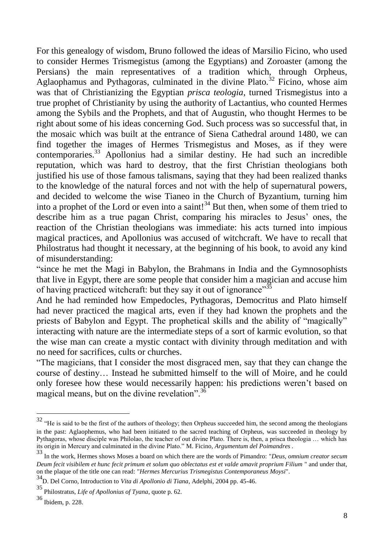For this genealogy of wisdom, Bruno followed the ideas of Marsilio Ficino, who used to consider Hermes Trismegistus (among the Egyptians) and Zoroaster (among the Persians) the main representatives of a tradition which, through Orpheus, Aglaophamus and Pythagoras, culminated in the divine Plato.<sup>32</sup> Ficino, whose aim was that of Christianizing the Egyptian *prisca teologia*, turned Trismegistus into a true prophet of Christianity by using the authority of Lactantius, who counted Hermes among the Sybils and the Prophets, and that of Augustin, who thought Hermes to be right about some of his ideas concerning God. Such process was so successful that, in the mosaic which was built at the entrance of Siena Cathedral around 1480, we can find together the images of Hermes Trismegistus and Moses, as if they were contemporaries.<sup>33</sup> Apollonius had a similar destiny. He had such an incredible reputation, which was hard to destroy, that the first Christian theologians both justified his use of those famous talismans, saying that they had been realized thanks to the knowledge of the natural forces and not with the help of supernatural powers, and decided to welcome the wise Tianeo in the Church of Byzantium, turning him into a prophet of the Lord or even into a saint!<sup>34</sup> But then, when some of them tried to describe him as a true pagan Christ, comparing his miracles to Jesus' ones, the reaction of the Christian theologians was immediate: his acts turned into impious magical practices, and Apollonius was accused of witchcraft. We have to recall that Philostratus had thought it necessary, at the beginning of his book, to avoid any kind of misunderstanding:

"since he met the Magi in Babylon, the Brahmans in India and the Gymnosophists that live in Egypt, there are some people that consider him a magician and accuse him of having practiced witchcraft: but they say it out of ignorance $\mathbb{R}^{35}$ 

And he had reminded how Empedocles, Pythagoras, Democritus and Plato himself had never practiced the magical arts, even if they had known the prophets and the priests of Babylon and Egypt. The prophetical skills and the ability of "magically" interacting with nature are the intermediate steps of a sort of karmic evolution, so that the wise man can create a mystic contact with divinity through meditation and with no need for sacrifices, cults or churches.

"The magicians, that I consider the most disgraced men, say that they can change the course of destiny… Instead he submitted himself to the will of Moire, and he could only foresee how these would necessarily happen: his predictions weren"t based on magical means, but on the divine revelation".<sup>36</sup>

 $32$  "He is said to be the first of the authors of theology; then Orpheus succeeded him, the second among the theologians in the past: Aglaophemus, who had been initiated to the sacred teaching of Orpheus, was succeeded in theology by Pythagoras, whose disciple was Philolao, the teacher of out divine Plato. There is, then, a prisca theologia … which has its origin in Mercury and culminated in the divine Plato." M. Ficino*, Argumentum del Poimandres .*

<sup>33</sup> In the work, Hermes shows Moses a board on which there are the words of Pimandro: "*Deus, omnium creator secum Deum fecit visibilem et hunc fecit primum et solum quo oblectatus est et valde amavit proprium Filium* " and under that, on the plaque of the title one can read: "*Hermes Mercurius Trismegistus Contemporaneus Moysi*".

<sup>34</sup>D. Del Corno, Introduction to *Vita di Apollonio di Tiana*, Adelphi, 2004 pp. 45-46.

<sup>35</sup> Philostratus, *Life of Apollonius of Tyana*, quote p. 62.

<sup>36</sup> Ibidem, p. 228.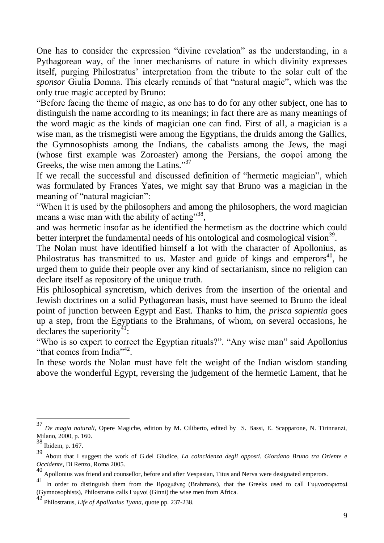One has to consider the expression "divine revelation" as the understanding, in a Pythagorean way, of the inner mechanisms of nature in which divinity expresses itself, purging Philostratus' interpretation from the tribute to the solar cult of the *sponsor* Giulia Domna. This clearly reminds of that "natural magic", which was the only true magic accepted by Bruno:

"Before facing the theme of magic, as one has to do for any other subject, one has to distinguish the name according to its meanings; in fact there are as many meanings of the word magic as the kinds of magician one can find. First of all, a magician is a wise man, as the trismegisti were among the Egyptians, the druids among the Gallics, the Gymnosophists among the Indians, the cabalists among the Jews, the magi (whose first example was Zoroaster) among the Persians, the  $\sigma$  over among the Greeks, the wise men among the Latins."<sup>37</sup>

If we recall the successful and discussed definition of "hermetic magician", which was formulated by Frances Yates, we might say that Bruno was a magician in the meaning of "natural magician":

"When it is used by the philosophers and among the philosophers, the word magician means a wise man with the ability of acting"<sup>38</sup>,

and was hermetic insofar as he identified the hermetism as the doctrine which could better interpret the fundamental needs of his ontological and cosmological vision<sup>39</sup>.

The Nolan must have identified himself a lot with the character of Apollonius, as Philostratus has transmitted to us. Master and guide of kings and emperors $40$ , he urged them to guide their people over any kind of sectarianism, since no religion can declare itself as repository of the unique truth.

His philosophical syncretism, which derives from the insertion of the oriental and Jewish doctrines on a solid Pythagorean basis, must have seemed to Bruno the ideal point of junction between Egypt and East. Thanks to him, the *prisca sapientia* goes up a step, from the Egyptians to the Brahmans, of whom, on several occasions, he  $\det$  declares the superiority<sup>41</sup>:

"Who is so expert to correct the Egyptian rituals?". "Any wise man" said Apollonius "that comes from India"<sup>42</sup>.

In these words the Nolan must have felt the weight of the Indian wisdom standing above the wonderful Egypt, reversing the judgement of the hermetic Lament, that he

<sup>37</sup> *De magia naturali*, Opere Magiche, edition by M. Ciliberto, edited by S. Bassi, E. Scapparone, N. Tirinnanzi, Milano, 2000, p. 160.

<sup>38</sup> Ibidem, p. 167.

<sup>39</sup> About that I suggest the work of G.del Giudice, *La coincidenza degli opposti. Giordano Bruno tra Oriente e Occidente*, Di Renzo, Roma 2005.

<sup>40</sup> Apollonius was friend and counsellor, before and after Vespasian, Titus and Nerva were designated emperors.

<sup>&</sup>lt;sup>41</sup> In order to distinguish them from the Βραχμãνες (Brahmans), that the Greeks used to call Γυμνοσοφισταί (Gymnosophists), Philostratus calls Γσμνοί (Ginni) the wise men from Africa.

<sup>42</sup> Philostratus, *Life of Apollonius Tyana*, quote pp. 237-238.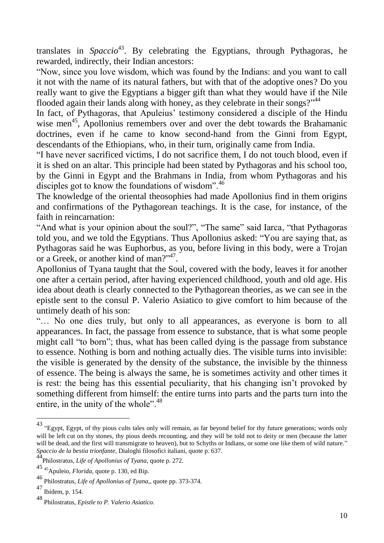translates in *Spaccio*<sup>43</sup>. By celebrating the Egyptians, through Pythagoras, he rewarded, indirectly, their Indian ancestors:

"Now, since you love wisdom, which was found by the Indians: and you want to call it not with the name of its natural fathers, but with that of the adoptive ones? Do you really want to give the Egyptians a bigger gift than what they would have if the Nile flooded again their lands along with honey, as they celebrate in their songs?"<sup>44</sup>

In fact, of Pythagoras, that Apuleius' testimony considered a disciple of the Hindu wise men<sup>45</sup>, Apollonius remembers over and over the debt towards the Brahamanic doctrines, even if he came to know second-hand from the Ginni from Egypt, descendants of the Ethiopians, who, in their turn, originally came from India.

"I have never sacrificed victims, I do not sacrifice them, I do not touch blood, even if it is shed on an altar. This principle had been stated by Pythagoras and his school too, by the Ginni in Egypt and the Brahmans in India, from whom Pythagoras and his disciples got to know the foundations of wisdom".<sup>46</sup>

The knowledge of the oriental theosophies had made Apollonius find in them origins and confirmations of the Pythagorean teachings. It is the case, for instance, of the faith in reincarnation:

"And what is your opinion about the soul?", "The same" said Iarca, "that Pythagoras told you, and we told the Egyptians. Thus Apollonius asked: "You are saying that, as Pythagoras said he was Euphorbus, as you, before living in this body, were a Trojan or a Greek, or another kind of man?"<sup>47</sup>.

Apollonius of Tyana taught that the Soul, covered with the body, leaves it for another one after a certain period, after having experienced childhood, youth and old age. His idea about death is clearly connected to the Pythagorean theories, as we can see in the epistle sent to the consul P. Valerio Asiatico to give comfort to him because of the untimely death of his son:

"… No one dies truly, but only to all appearances, as everyone is born to all appearances. In fact, the passage from essence to substance, that is what some people might call "to born"; thus, what has been called dying is the passage from substance to essence. Nothing is born and nothing actually dies. The visible turns into invisible: the visible is generated by the density of the substance, the invisible by the thinness of essence. The being is always the same, he is sometimes activity and other times it is rest: the being has this essential peculiarity, that his changing isn"t provoked by something different from himself: the entire turns into parts and the parts turn into the entire, in the unity of the whole".<sup>48</sup>

 $^{43}$  "Egypt, Egypt, of thy pious cults tales only will remain, as far beyond belief for thy future generations; words only will be left cut on thy stones, thy pious deeds recounting, and they will be told not to deity or men (because the latter will be dead, and the first will transmigrate to heaven), but to Schyths or Indians, or some one like them of wild nature." *Spaccio de la bestia trionfante,* Dialoghi filosofici italiani, quote p. 637.

<sup>44</sup>Philostratus, *Life of Apollonius of Tyana*, quote p. 272.

<sup>45</sup> <sup>45</sup>Apuleio, *Florida,* quote p. 130, ed Bip.

<sup>46</sup> Philostratus, *Life of Apollonius of Tyana*,, quote pp. 373-374.

<sup>47</sup> Ibidem, p. 154.

<sup>48</sup> Philostratus, *Epistle to P. Valerio Asiatico.*